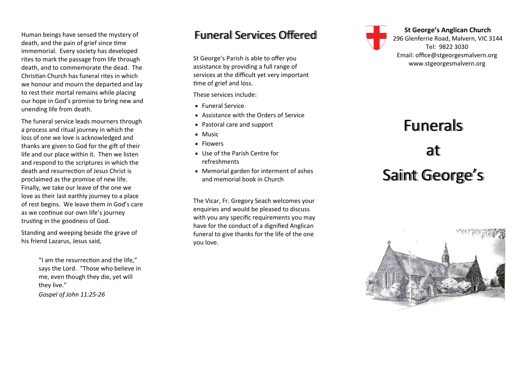Human beings have sensed the mystery of death, and the pain of grief since time immemorial. Every society has developed rites to mark the passage from life through death, and to commemorate the dead. The Christian Church has funeral rites in which we honour and mourn the departed and lay to rest their mortal remains while placing our hope in God 's promise to bring new and unending life from death.

The funeral service leads mourners through a process and ritual journey in which the loss of one we love is acknowledged and thanks are given to God for the gift of their life and our place within it. Then we listen and respond to the scriptures in which the death and resurrection of Jesus Christ is proclaimed as the promise of new life. Finally, we take our leave of the one we love as their last earthly journey to a place of rest begins. We leave them in God 's care as we continue our own life 's journey trusting in the goodness of God.

Standing and weeping beside the grave of his friend Lazarus, Jesus said,

> "I am the resurrection and the life," says the Lord. "Those who believe in me, even though they die, yet will they live." *Gospel of John 11:25 -26*

#### Funeral Services Offered

St George 's Parish is able to offer you assistance by providing a full range of services at the difficult yet very important time of grief and loss.

These services include:

- Funeral Service
- Assistance with the Orders of Service
- Pastoral care and support
- Music
- Flowers
- Use of the Parish Centre for refreshments
- Memorial garden for interment of ashes and memorial book in Church

The Vicar, Fr. Gregory Seach welcomes your enquiries and would be pleased to discuss with you any specific requirements you may have for the conduct of a dignified Anglican funeral to give thanks for the life of the one you love.



**St George 's Anglican Church** 296 Glenferrie Road, Malvern, VIC 3144 Tel: 9822 3030 Email: office@stgeorgesmalvern.org www.stgeorgesmalvern.org

# Funerals at Saint George ' s